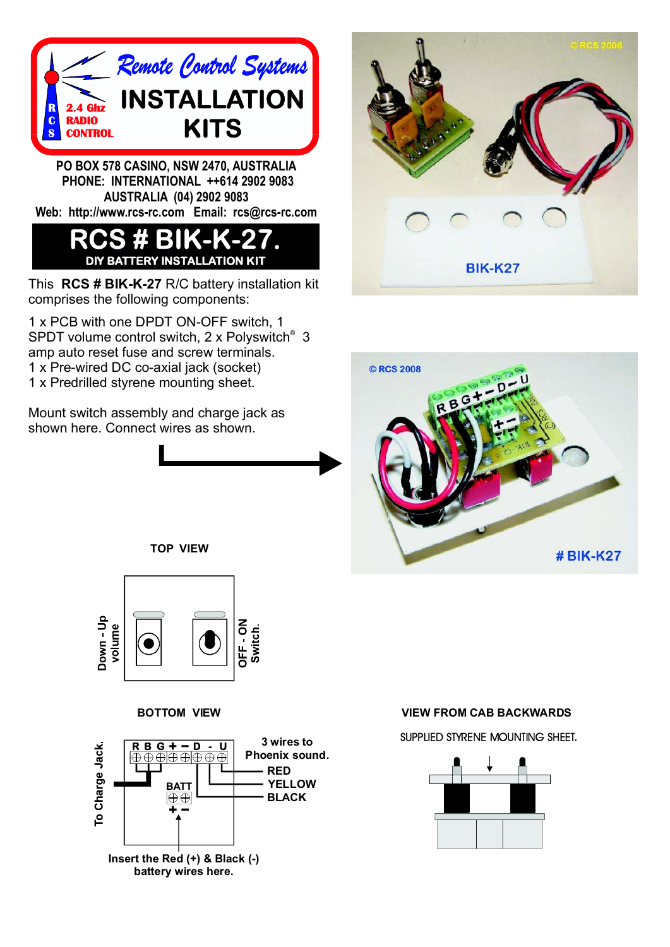

**PO BOX 578 CASINO, NSW 2470, AUSTRALIA PHONE: INTERNATIONAL ++614 2902 9083 AUSTRALIA (04) 2902 9083 Web: http://www.rcs-rc.com Email: rcs@rcs-rc.com**

## **RCS # BIK-K-27. DIY BATTERY INSTALLATION KIT**

This RCS # BIK-K-27 R/C battery installation kit comprises the following components:

1 x PCB with one DPDT ON-OFF switch, 1 SPDT volume control switch, 2 x Polyswitch<sup>®</sup> 3 amp auto reset fuse and screw terminals. 1 x Pre-wired DC co-axial jack (socket) 1 x Predrilled styrene mounting sheet.

Mount switch assembly and charge jack as shown here. Connect wires as shown.







**TOP VIEW**





**VIEW TROM CAB BACKWARDS** 

SUPPLIED STYRENE MOUNTING SHEET.

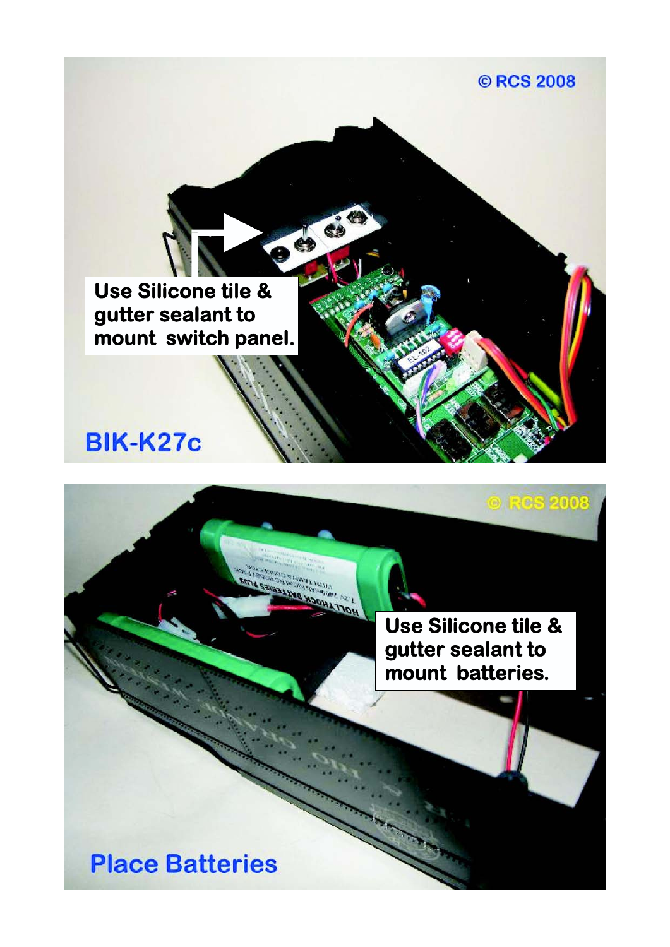

**Use Silicone tile & gutter sealant to mount batteries.**

 $2000.5$ 

**Place Batteries**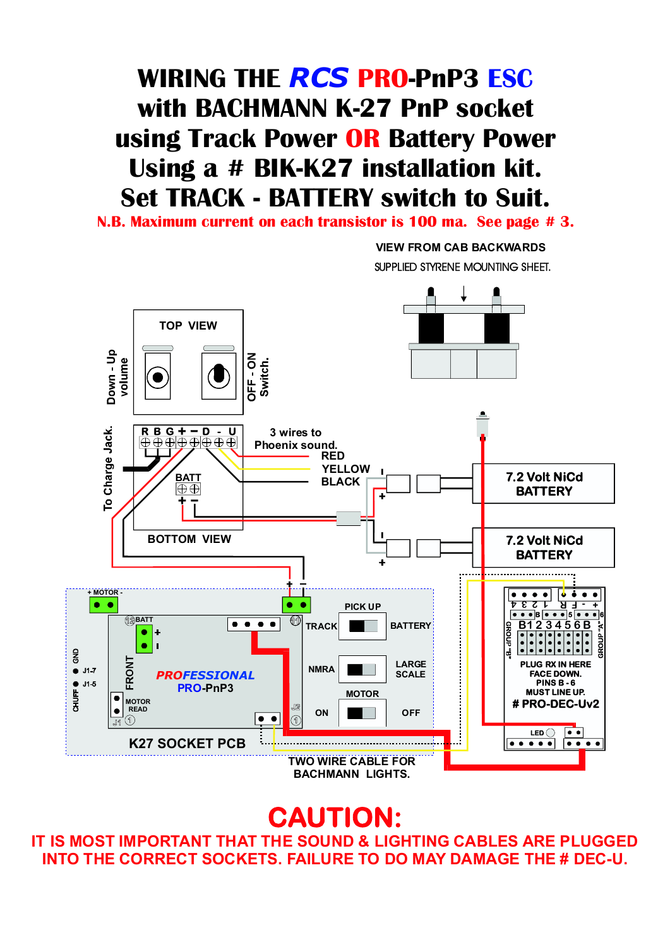## **WIRING THE RCS PRO-PnP3 ESC with BACHMANN K-27 PnP socket** using Track Power OR Battery Power **Using a # BIK-K27 installation kit. Set TRACK - BATTERY switch to Suit.**

**N.B. Maximum current on each transistor is 100 ma. See page # 3.**

**VIEW FROM CAB BACKWARDS** SUPPLIED STYRENE MOUNTING SHEET.



**CAUTION:**

**IT IS MOST IMPORTANT THAT THE SOUND & LIGHTING CABLES ARE PLUGGED INTO THE CORRECT SOCKETS. FAILURE TO DO MAY DAMAGE THE # DEC-U.**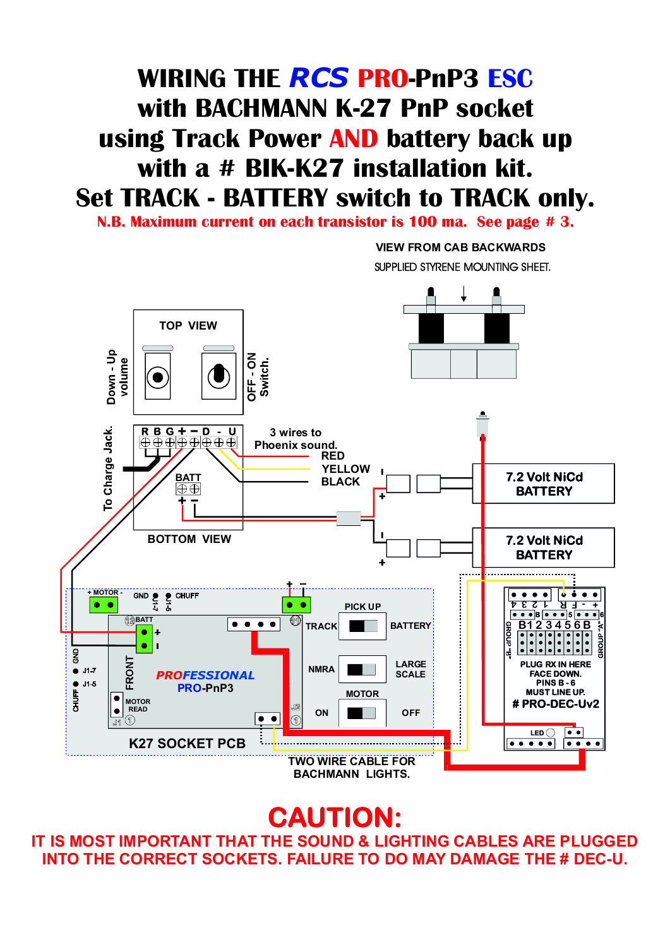## **WIRING THE RCS PRO-PnP3 ESC with BACHMANN K-27 PnP socket** using Track Power AND battery back up **with a # BIK-K27 installation kit. Set TRACK - BATTERY switch to TRACK only.**

**N.B. Maximum current on each transistor is 100 ma. See page # 3.**

**VIEW FROM CAB BACKWARDS** SUPPLIED STYRENE MOUNTING SHEET.



**CAUTION:**

**IT IS MOST IMPORTANT THAT THE SOUND & LIGHTING CABLES ARE PLUGGED INTO THE CORRECT SOCKETS. FAILURE TO DO MAY DAMAGE THE # DEC-U.**